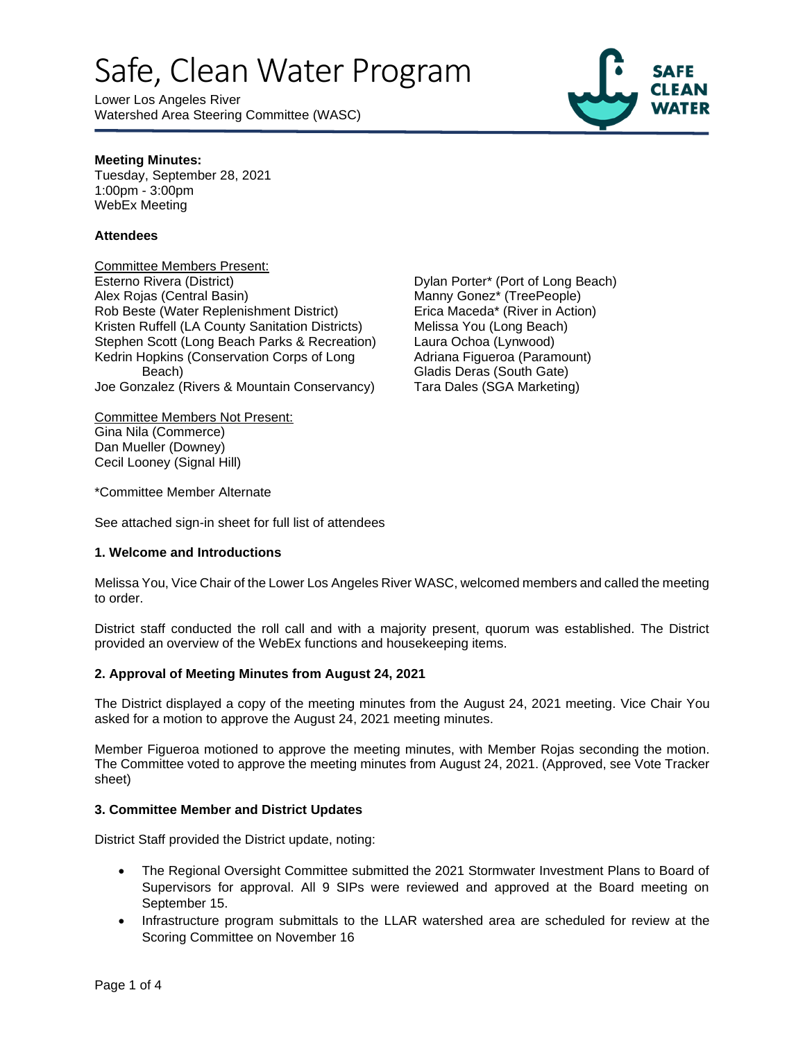Lower Los Angeles River Watershed Area Steering Committee (WASC)



#### **Meeting Minutes:**

Tuesday, September 28, 2021 1:00pm - 3:00pm WebEx Meeting

#### **Attendees**

Committee Members Present: Esterno Rivera (District) Alex Rojas (Central Basin) Rob Beste (Water Replenishment District) Kristen Ruffell (LA County Sanitation Districts) Stephen Scott (Long Beach Parks & Recreation) Kedrin Hopkins (Conservation Corps of Long Beach) Joe Gonzalez (Rivers & Mountain Conservancy)

Committee Members Not Present: Gina Nila (Commerce) Dan Mueller (Downey) Cecil Looney (Signal Hill)

Dylan Porter\* (Port of Long Beach) Manny Gonez\* (TreePeople) Erica Maceda\* (River in Action) Melissa You (Long Beach) Laura Ochoa (Lynwood) Adriana Figueroa (Paramount) Gladis Deras (South Gate) Tara Dales (SGA Marketing)

\*Committee Member Alternate

See attached sign-in sheet for full list of attendees

#### **1. Welcome and Introductions**

Melissa You, Vice Chair of the Lower Los Angeles River WASC, welcomed members and called the meeting to order.

District staff conducted the roll call and with a majority present, quorum was established. The District provided an overview of the WebEx functions and housekeeping items.

#### **2. Approval of Meeting Minutes from August 24, 2021**

The District displayed a copy of the meeting minutes from the August 24, 2021 meeting. Vice Chair You asked for a motion to approve the August 24, 2021 meeting minutes.

Member Figueroa motioned to approve the meeting minutes, with Member Rojas seconding the motion. The Committee voted to approve the meeting minutes from August 24, 2021. (Approved, see Vote Tracker sheet)

#### **3. Committee Member and District Updates**

District Staff provided the District update, noting:

- The Regional Oversight Committee submitted the 2021 Stormwater Investment Plans to Board of Supervisors for approval. All 9 SIPs were reviewed and approved at the Board meeting on September 15.
- Infrastructure program submittals to the LLAR watershed area are scheduled for review at the Scoring Committee on November 16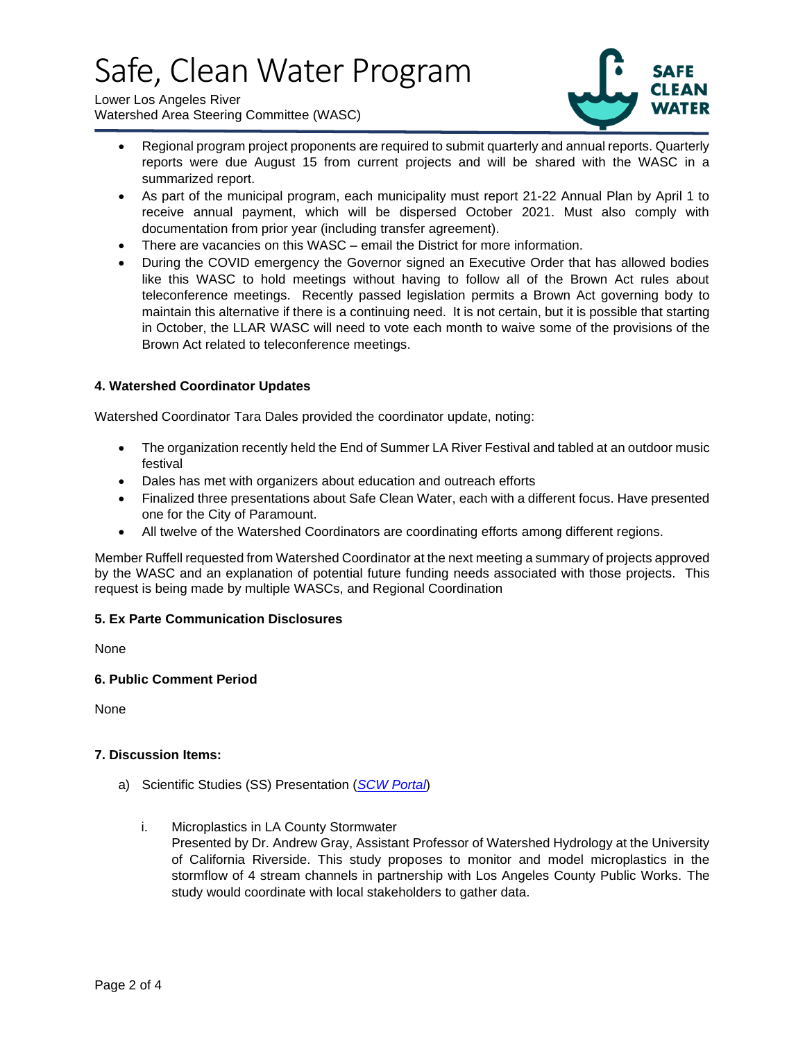Lower Los Angeles River Watershed Area Steering Committee (WASC)



- Regional program project proponents are required to submit quarterly and annual reports. Quarterly reports were due August 15 from current projects and will be shared with the WASC in a summarized report.
- As part of the municipal program, each municipality must report 21-22 Annual Plan by April 1 to receive annual payment, which will be dispersed October 2021. Must also comply with documentation from prior year (including transfer agreement).
- There are vacancies on this WASC email the District for more information.
- During the COVID emergency the Governor signed an Executive Order that has allowed bodies like this WASC to hold meetings without having to follow all of the Brown Act rules about teleconference meetings. Recently passed legislation permits a Brown Act governing body to maintain this alternative if there is a continuing need. It is not certain, but it is possible that starting in October, the LLAR WASC will need to vote each month to waive some of the provisions of the Brown Act related to teleconference meetings.

#### **4. Watershed Coordinator Updates**

Watershed Coordinator Tara Dales provided the coordinator update, noting:

- The organization recently held the End of Summer LA River Festival and tabled at an outdoor music festival
- Dales has met with organizers about education and outreach efforts
- Finalized three presentations about Safe Clean Water, each with a different focus. Have presented one for the City of Paramount.
- All twelve of the Watershed Coordinators are coordinating efforts among different regions.

Member Ruffell requested from Watershed Coordinator at the next meeting a summary of projects approved by the WASC and an explanation of potential future funding needs associated with those projects. This request is being made by multiple WASCs, and Regional Coordination

#### **5. Ex Parte Communication Disclosures**

None

#### **6. Public Comment Period**

None

#### **7. Discussion Items:**

- a) Scientific Studies (SS) Presentation (*[SCW Portal](https://portal.safecleanwaterla.org/scw-reporting/dashboard)*)
	- i. Microplastics in LA County Stormwater

Presented by Dr. Andrew Gray, Assistant Professor of Watershed Hydrology at the University of California Riverside. This study proposes to monitor and model microplastics in the stormflow of 4 stream channels in partnership with Los Angeles County Public Works. The study would coordinate with local stakeholders to gather data.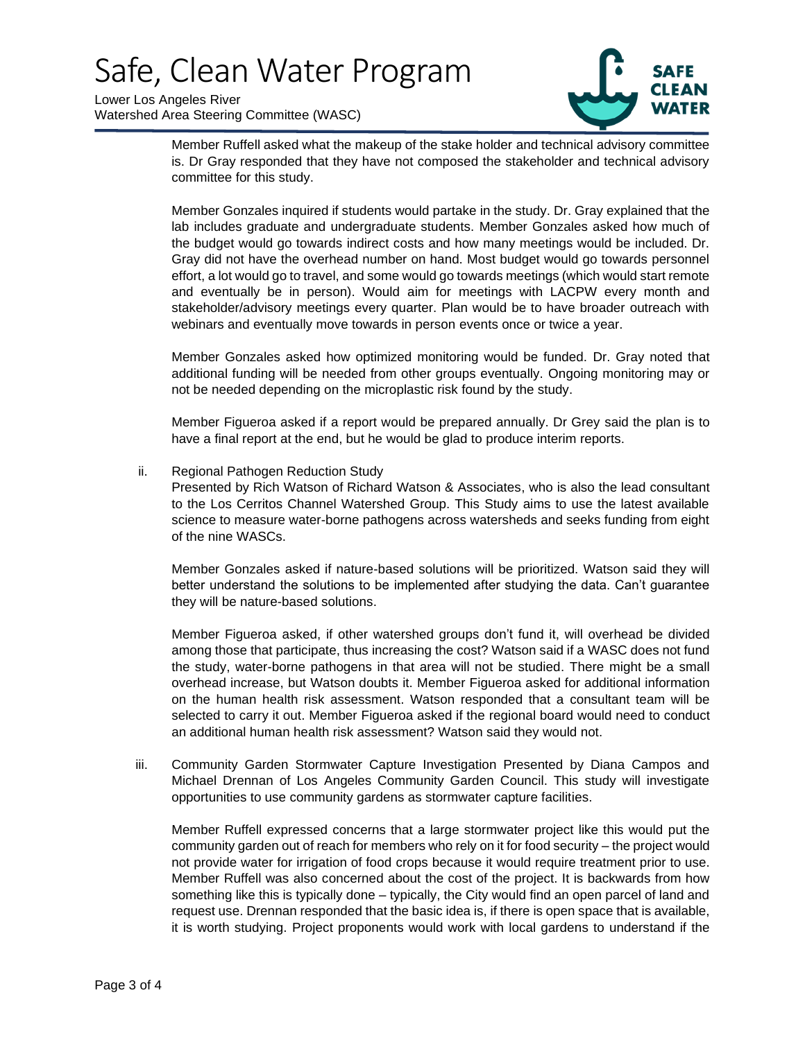Lower Los Angeles River Watershed Area Steering Committee (WASC)



Member Ruffell asked what the makeup of the stake holder and technical advisory committee is. Dr Gray responded that they have not composed the stakeholder and technical advisory committee for this study.

Member Gonzales inquired if students would partake in the study. Dr. Gray explained that the lab includes graduate and undergraduate students. Member Gonzales asked how much of the budget would go towards indirect costs and how many meetings would be included. Dr. Gray did not have the overhead number on hand. Most budget would go towards personnel effort, a lot would go to travel, and some would go towards meetings (which would start remote and eventually be in person). Would aim for meetings with LACPW every month and stakeholder/advisory meetings every quarter. Plan would be to have broader outreach with webinars and eventually move towards in person events once or twice a year.

Member Gonzales asked how optimized monitoring would be funded. Dr. Gray noted that additional funding will be needed from other groups eventually. Ongoing monitoring may or not be needed depending on the microplastic risk found by the study.

Member Figueroa asked if a report would be prepared annually. Dr Grey said the plan is to have a final report at the end, but he would be glad to produce interim reports.

ii. Regional Pathogen Reduction Study

Presented by Rich Watson of Richard Watson & Associates, who is also the lead consultant to the Los Cerritos Channel Watershed Group. This Study aims to use the latest available science to measure water-borne pathogens across watersheds and seeks funding from eight of the nine WASCs.

Member Gonzales asked if nature-based solutions will be prioritized. Watson said they will better understand the solutions to be implemented after studying the data. Can't guarantee they will be nature-based solutions.

Member Figueroa asked, if other watershed groups don't fund it, will overhead be divided among those that participate, thus increasing the cost? Watson said if a WASC does not fund the study, water-borne pathogens in that area will not be studied. There might be a small overhead increase, but Watson doubts it. Member Figueroa asked for additional information on the human health risk assessment. Watson responded that a consultant team will be selected to carry it out. Member Figueroa asked if the regional board would need to conduct an additional human health risk assessment? Watson said they would not.

iii. Community Garden Stormwater Capture Investigation Presented by Diana Campos and Michael Drennan of Los Angeles Community Garden Council. This study will investigate opportunities to use community gardens as stormwater capture facilities.

Member Ruffell expressed concerns that a large stormwater project like this would put the community garden out of reach for members who rely on it for food security – the project would not provide water for irrigation of food crops because it would require treatment prior to use. Member Ruffell was also concerned about the cost of the project. It is backwards from how something like this is typically done – typically, the City would find an open parcel of land and request use. Drennan responded that the basic idea is, if there is open space that is available, it is worth studying. Project proponents would work with local gardens to understand if the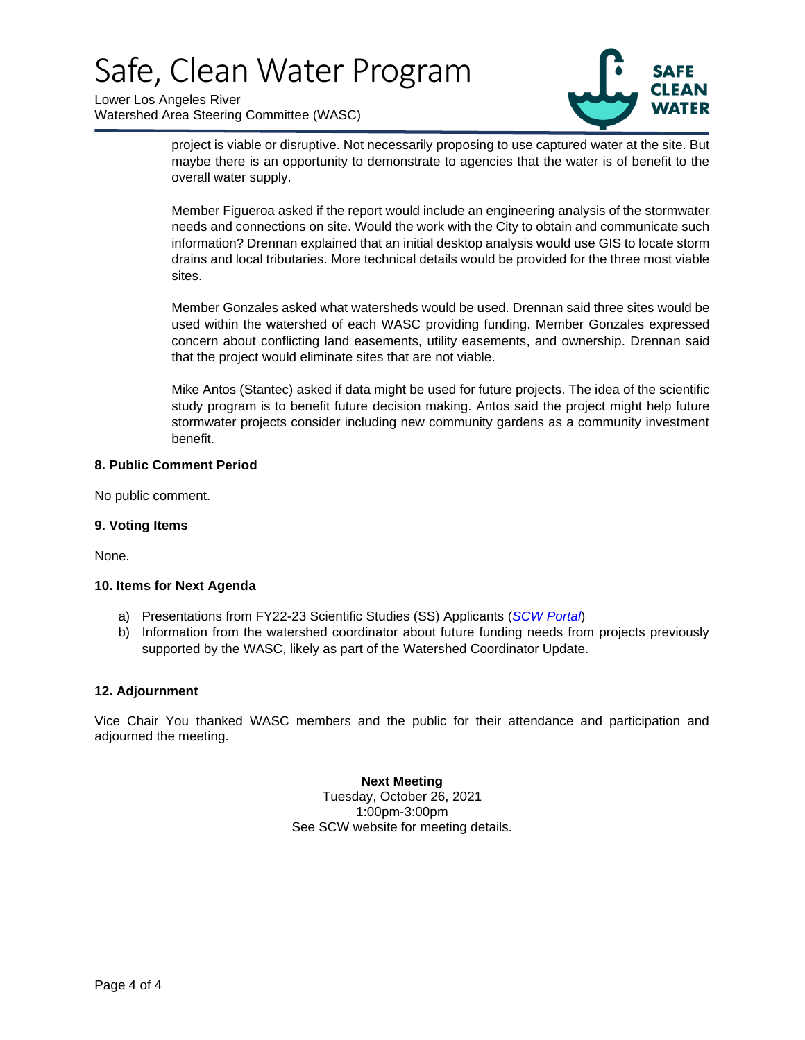Lower Los Angeles River Watershed Area Steering Committee (WASC)



project is viable or disruptive. Not necessarily proposing to use captured water at the site. But maybe there is an opportunity to demonstrate to agencies that the water is of benefit to the overall water supply.

Member Figueroa asked if the report would include an engineering analysis of the stormwater needs and connections on site. Would the work with the City to obtain and communicate such information? Drennan explained that an initial desktop analysis would use GIS to locate storm drains and local tributaries. More technical details would be provided for the three most viable sites.

Member Gonzales asked what watersheds would be used. Drennan said three sites would be used within the watershed of each WASC providing funding. Member Gonzales expressed concern about conflicting land easements, utility easements, and ownership. Drennan said that the project would eliminate sites that are not viable.

Mike Antos (Stantec) asked if data might be used for future projects. The idea of the scientific study program is to benefit future decision making. Antos said the project might help future stormwater projects consider including new community gardens as a community investment benefit.

#### **8. Public Comment Period**

No public comment.

#### **9. Voting Items**

None.

#### **10. Items for Next Agenda**

- a) Presentations from FY22-23 Scientific Studies (SS) Applicants (*[SCW Portal](https://portal.safecleanwaterla.org/scw-reporting/dashboard)*)
- b) Information from the watershed coordinator about future funding needs from projects previously supported by the WASC, likely as part of the Watershed Coordinator Update.

#### **12. Adjournment**

Vice Chair You thanked WASC members and the public for their attendance and participation and adjourned the meeting.

#### **Next Meeting**

Tuesday, October 26, 2021 1:00pm-3:00pm See SCW website for meeting details.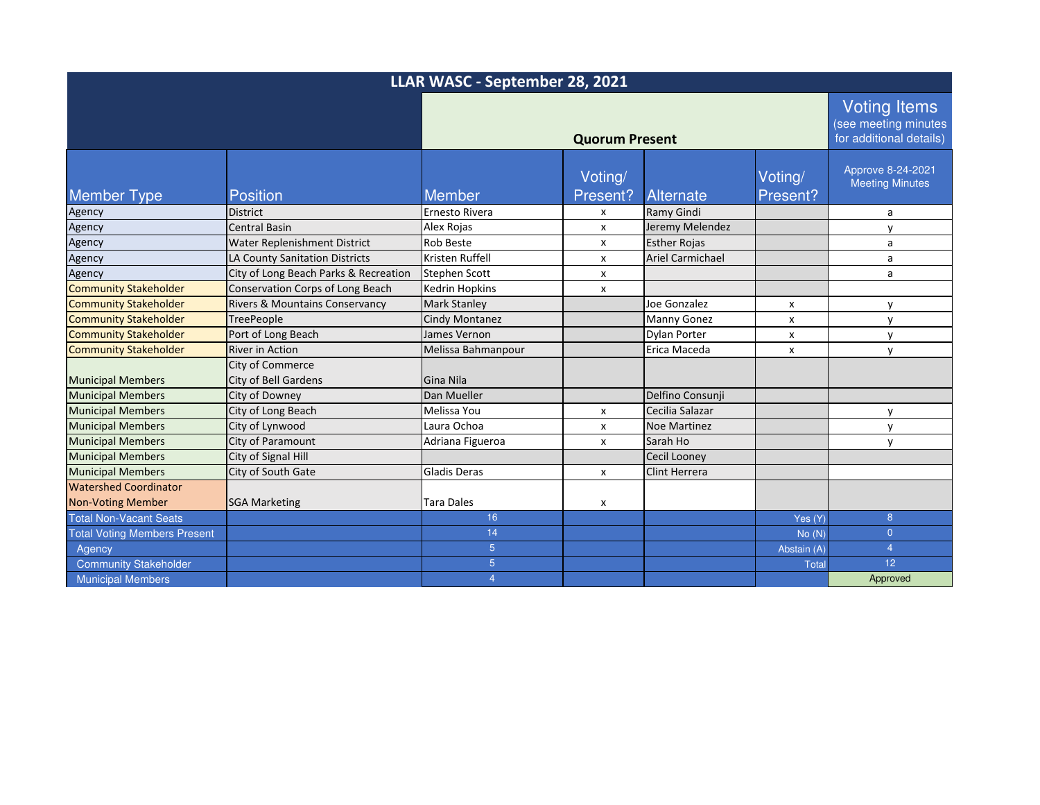| LLAR WASC - September 28, 2021      |                                                        |                       |                           |                         |                                                                        |                                             |
|-------------------------------------|--------------------------------------------------------|-----------------------|---------------------------|-------------------------|------------------------------------------------------------------------|---------------------------------------------|
|                                     | <b>Quorum Present</b>                                  |                       |                           |                         | <b>Voting Items</b><br>(see meeting minutes<br>for additional details) |                                             |
| <b>Member Type</b>                  | <b>Position</b>                                        | Member                | Voting/<br>Present?       | Alternate               | Voting/<br>Present?                                                    | Approve 8-24-2021<br><b>Meeting Minutes</b> |
| Agency                              | <b>District</b>                                        | <b>Ernesto Rivera</b> | X                         | Ramy Gindi              |                                                                        | a                                           |
| Agency                              | <b>Central Basin</b>                                   | Alex Rojas            | X                         | Jeremy Melendez         |                                                                        | y                                           |
| Agency                              | Water Replenishment District                           | <b>Rob Beste</b>      | X                         | <b>Esther Rojas</b>     |                                                                        | a                                           |
| Agency                              | LA County Sanitation Districts                         | Kristen Ruffell       | X                         | <b>Ariel Carmichael</b> |                                                                        | a                                           |
| Agency                              | City of Long Beach Parks & Recreation                  | <b>Stephen Scott</b>  | X                         |                         |                                                                        | a                                           |
| <b>Community Stakeholder</b>        | Conservation Corps of Long Beach                       | Kedrin Hopkins        | X                         |                         |                                                                        |                                             |
| <b>Community Stakeholder</b>        | Rivers & Mountains Conservancy                         | <b>Mark Stanley</b>   |                           | Joe Gonzalez            | x                                                                      | y                                           |
| <b>Community Stakeholder</b>        | <b>TreePeople</b>                                      | Cindy Montanez        |                           | <b>Manny Gonez</b>      | x                                                                      | y                                           |
| <b>Community Stakeholder</b>        | Port of Long Beach                                     | James Vernon          |                           | <b>Dylan Porter</b>     | x                                                                      | y                                           |
| <b>Community Stakeholder</b>        | <b>River in Action</b>                                 | Melissa Bahmanpour    |                           | Erica Maceda            | x                                                                      | $\mathsf{V}$                                |
| <b>Municipal Members</b>            | <b>City of Commerce</b><br><b>City of Bell Gardens</b> | Gina Nila             |                           |                         |                                                                        |                                             |
| <b>Municipal Members</b>            | City of Downey                                         | Dan Mueller           |                           | Delfino Consunji        |                                                                        |                                             |
| <b>Municipal Members</b>            | City of Long Beach                                     | Melissa You           | X                         | Cecilia Salazar         |                                                                        | y                                           |
| <b>Municipal Members</b>            | City of Lynwood                                        | Laura Ochoa           | X                         | <b>Noe Martinez</b>     |                                                                        | $\mathsf{v}$                                |
| <b>Municipal Members</b>            | City of Paramount                                      | Adriana Figueroa      | $\boldsymbol{\mathsf{x}}$ | Sarah Ho                |                                                                        | V                                           |
| <b>Municipal Members</b>            | City of Signal Hill                                    |                       |                           | <b>Cecil Looney</b>     |                                                                        |                                             |
| <b>Municipal Members</b>            | City of South Gate                                     | <b>Gladis Deras</b>   | X                         | Clint Herrera           |                                                                        |                                             |
| <b>Watershed Coordinator</b>        |                                                        |                       |                           |                         |                                                                        |                                             |
| <b>Non-Voting Member</b>            | <b>SGA Marketing</b>                                   | <b>Tara Dales</b>     | X                         |                         |                                                                        |                                             |
| <b>Total Non-Vacant Seats</b>       |                                                        | 16                    |                           |                         | Yes (Y)                                                                | 8 <sup>°</sup>                              |
| <b>Total Voting Members Present</b> |                                                        | 14                    |                           |                         | No(N)                                                                  | $\overline{0}$                              |
| Agency                              |                                                        | $\overline{5}$        |                           |                         | Abstain (A)                                                            | $\overline{4}$                              |
| <b>Community Stakeholder</b>        |                                                        | $\overline{5}$        |                           |                         | <b>Total</b>                                                           | 12 <sup>°</sup>                             |
| <b>Municipal Members</b>            |                                                        | 4                     |                           |                         |                                                                        | Approved                                    |